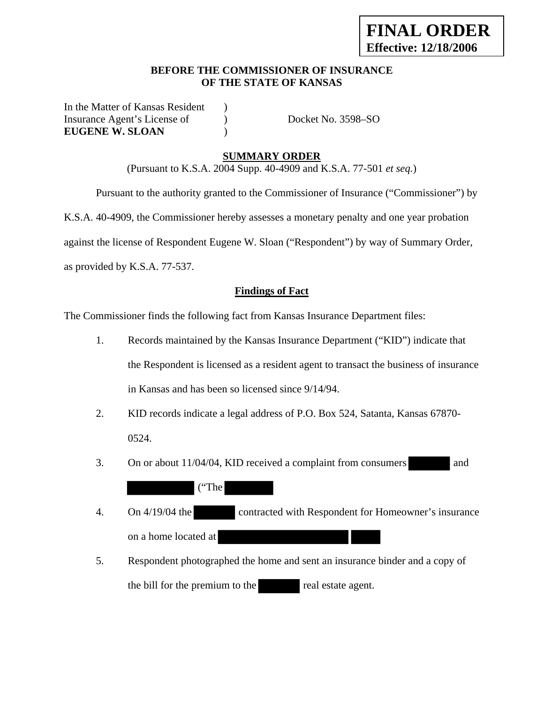## **BEFORE THE COMMISSIONER OF INSURANCE OF THE STATE OF KANSAS**

In the Matter of Kansas Resident ) Insurance Agent's License of  $Docket No. 3598–SO$ **EUGENE W. SLOAN** )

# **SUMMARY ORDER**

(Pursuant to K.S.A. 2004 Supp. 40-4909 and K.S.A. 77-501 *et seq.*)

Pursuant to the authority granted to the Commissioner of Insurance ("Commissioner") by

K.S.A. 40-4909, the Commissioner hereby assesses a monetary penalty and one year probation

against the license of Respondent Eugene W. Sloan ("Respondent") by way of Summary Order,

as provided by K.S.A. 77-537.

## **Findings of Fact**

The Commissioner finds the following fact from Kansas Insurance Department files:

- 1. Records maintained by the Kansas Insurance Department ("KID") indicate that the Respondent is licensed as a resident agent to transact the business of insurance in Kansas and has been so licensed since 9/14/94.
- 2. KID records indicate a legal address of P.O. Box 524, Satanta, Kansas 67870- 0524.
- 3. On or about 11/04/04, KID received a complaint from consumers and

("The

- 4. On 4/19/04 the contracted with Respondent for Homeowner's insurance on a home located at
- 5. Respondent photographed the home and sent an insurance binder and a copy of the bill for the premium to the real estate agent.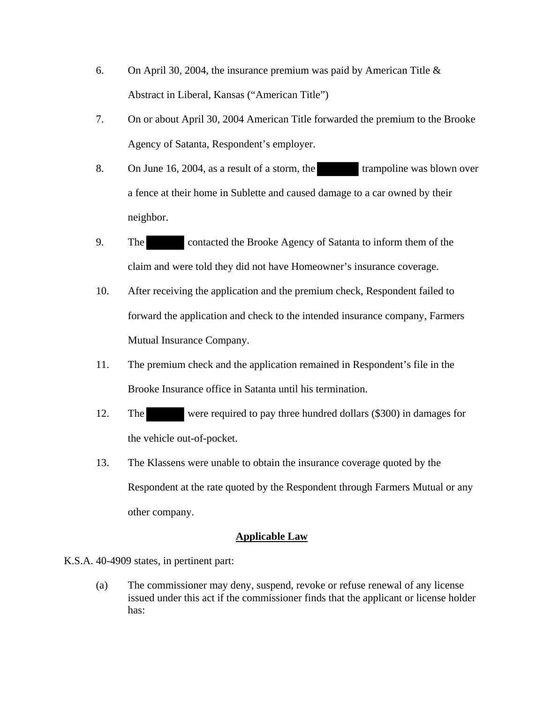- 6. On April 30, 2004, the insurance premium was paid by American Title & Abstract in Liberal, Kansas ("American Title")
- 7. On or about April 30, 2004 American Title forwarded the premium to the Brooke Agency of Satanta, Respondent's employer.
- 8. On June 16, 2004, as a result of a storm, the trampoline was blown over a fence at their home in Sublette and caused damage to a car owned by their neighbor.
- 9. The contacted the Brooke Agency of Satanta to inform them of the claim and were told they did not have Homeowner's insurance coverage.
- 10. After receiving the application and the premium check, Respondent failed to forward the application and check to the intended insurance company, Farmers Mutual Insurance Company.
- 11. The premium check and the application remained in Respondent's file in the Brooke Insurance office in Satanta until his termination.
- 12. The were required to pay three hundred dollars (\$300) in damages for the vehicle out-of-pocket.
- 13. The Klassens were unable to obtain the insurance coverage quoted by the Respondent at the rate quoted by the Respondent through Farmers Mutual or any other company.

## **Applicable Law**

# K.S.A. 40-4909 states, in pertinent part:

(a) The commissioner may deny, suspend, revoke or refuse renewal of any license issued under this act if the commissioner finds that the applicant or license holder has: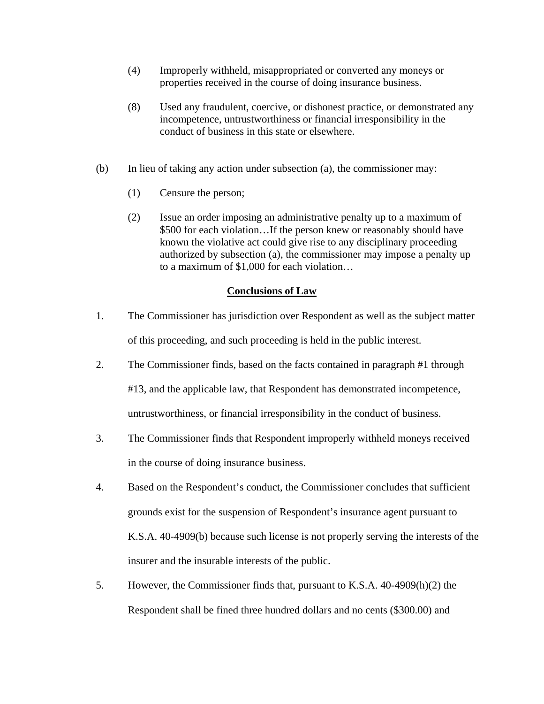- (4) Improperly withheld, misappropriated or converted any moneys or properties received in the course of doing insurance business.
- (8) Used any fraudulent, coercive, or dishonest practice, or demonstrated any incompetence, untrustworthiness or financial irresponsibility in the conduct of business in this state or elsewhere.
- (b) In lieu of taking any action under subsection (a), the commissioner may:
	- (1) Censure the person;
	- (2) Issue an order imposing an administrative penalty up to a maximum of \$500 for each violation…If the person knew or reasonably should have known the violative act could give rise to any disciplinary proceeding authorized by subsection (a), the commissioner may impose a penalty up to a maximum of \$1,000 for each violation…

## **Conclusions of Law**

- 1. The Commissioner has jurisdiction over Respondent as well as the subject matter of this proceeding, and such proceeding is held in the public interest.
- 2. The Commissioner finds, based on the facts contained in paragraph #1 through #13, and the applicable law, that Respondent has demonstrated incompetence, untrustworthiness, or financial irresponsibility in the conduct of business.
- 3. The Commissioner finds that Respondent improperly withheld moneys received in the course of doing insurance business.
- 4. Based on the Respondent's conduct, the Commissioner concludes that sufficient grounds exist for the suspension of Respondent's insurance agent pursuant to K.S.A. 40-4909(b) because such license is not properly serving the interests of the insurer and the insurable interests of the public.
- 5. However, the Commissioner finds that, pursuant to K.S.A. 40-4909(h)(2) the Respondent shall be fined three hundred dollars and no cents (\$300.00) and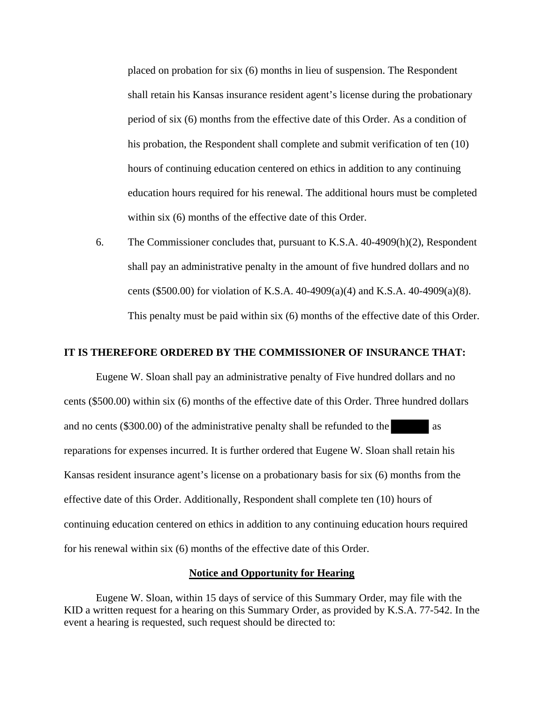placed on probation for six (6) months in lieu of suspension. The Respondent shall retain his Kansas insurance resident agent's license during the probationary period of six (6) months from the effective date of this Order. As a condition of his probation, the Respondent shall complete and submit verification of ten (10) hours of continuing education centered on ethics in addition to any continuing education hours required for his renewal. The additional hours must be completed within six (6) months of the effective date of this Order.

6. The Commissioner concludes that, pursuant to K.S.A. 40-4909(h)(2), Respondent shall pay an administrative penalty in the amount of five hundred dollars and no cents (\$500.00) for violation of K.S.A. 40-4909(a)(4) and K.S.A. 40-4909(a)(8). This penalty must be paid within six (6) months of the effective date of this Order.

#### **IT IS THEREFORE ORDERED BY THE COMMISSIONER OF INSURANCE THAT:**

Eugene W. Sloan shall pay an administrative penalty of Five hundred dollars and no cents (\$500.00) within six (6) months of the effective date of this Order. Three hundred dollars and no cents  $(\$300.00)$  of the administrative penalty shall be refunded to the as reparations for expenses incurred. It is further ordered that Eugene W. Sloan shall retain his Kansas resident insurance agent's license on a probationary basis for six (6) months from the effective date of this Order. Additionally, Respondent shall complete ten (10) hours of continuing education centered on ethics in addition to any continuing education hours required for his renewal within six (6) months of the effective date of this Order.

#### **Notice and Opportunity for Hearing**

 Eugene W. Sloan, within 15 days of service of this Summary Order, may file with the KID a written request for a hearing on this Summary Order, as provided by K.S.A. 77-542. In the event a hearing is requested, such request should be directed to: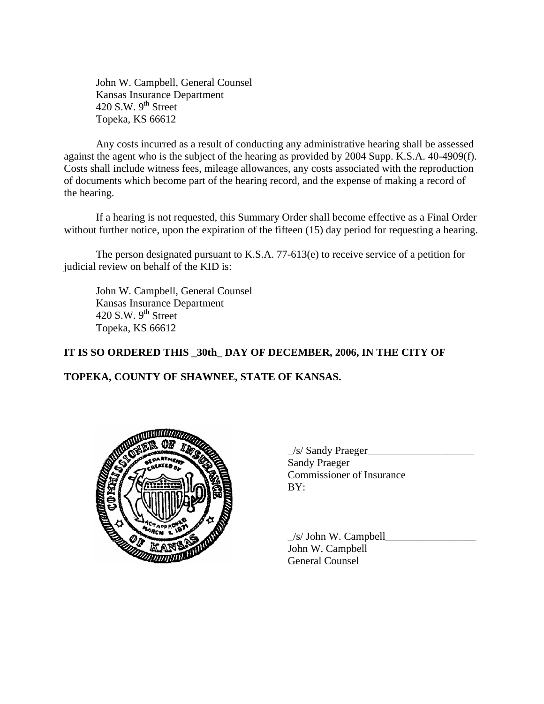John W. Campbell, General Counsel Kansas Insurance Department 420 S.W.  $9<sup>th</sup>$  Street Topeka, KS 66612

 Any costs incurred as a result of conducting any administrative hearing shall be assessed against the agent who is the subject of the hearing as provided by 2004 Supp. K.S.A. 40-4909(f). Costs shall include witness fees, mileage allowances, any costs associated with the reproduction of documents which become part of the hearing record, and the expense of making a record of the hearing.

 If a hearing is not requested, this Summary Order shall become effective as a Final Order without further notice, upon the expiration of the fifteen (15) day period for requesting a hearing.

 The person designated pursuant to K.S.A. 77-613(e) to receive service of a petition for judicial review on behalf of the KID is:

 John W. Campbell, General Counsel Kansas Insurance Department 420 S.W.  $9<sup>th</sup>$  Street Topeka, KS 66612

# **IT IS SO ORDERED THIS \_30th\_ DAY OF DECEMBER, 2006, IN THE CITY OF**

# **TOPEKA, COUNTY OF SHAWNEE, STATE OF KANSAS.**



 $\angle$ s/ Sandy Praeger $\angle$  Sandy Praeger Commissioner of Insurance

 $\angle$ s/ John W. Campbell $\Box$  John W. Campbell General Counsel